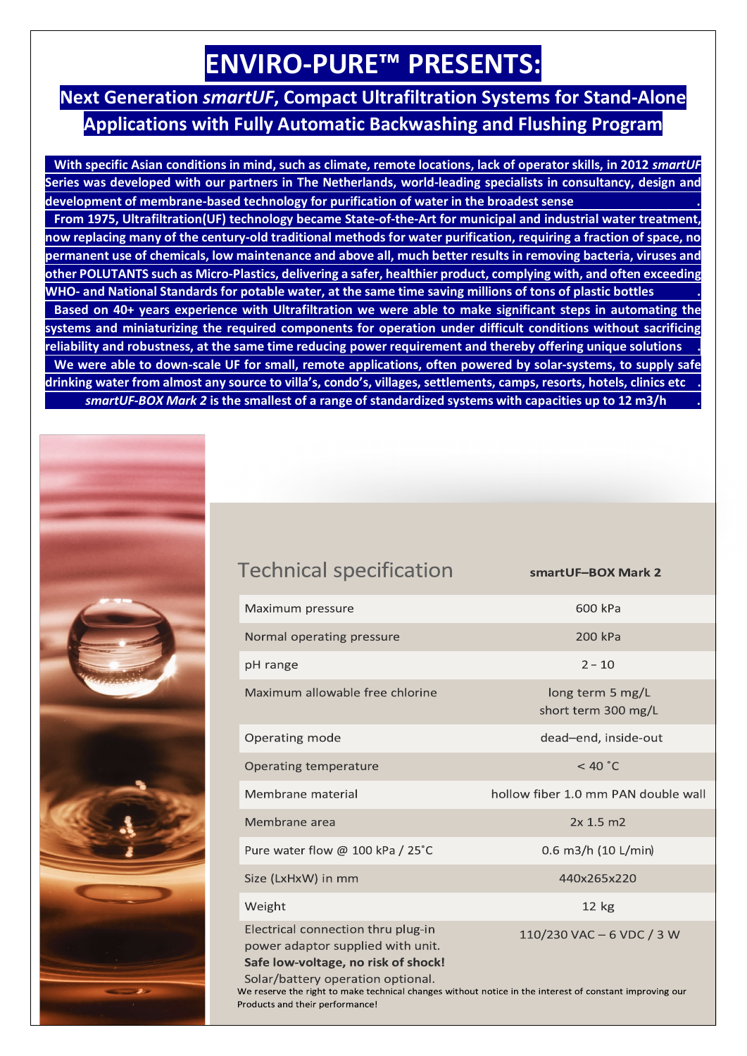## **ENVIRO-PURE™ PRESENTS:**

## **Next Generation** *smartUF***, Compact Ultrafiltration Systems for Stand-Alone Applications with Fully Automatic Backwashing and Flushing Program**

 **With specific Asian conditions in mind, such as climate, remote locations, lack of operator skills, in 2012** *smartUF* **Series was developed with our partners in The Netherlands, world-leading specialists in consultancy, design and development of membrane-based technology for purification of water in the broadest sense . From 1975, Ultrafiltration(UF) technology became State-of-the-Art for municipal and industrial water treatment, now replacing many of the century-old traditional methods for water purification, requiring a fraction of space, no permanent use of chemicals, low maintenance and above all, much better results in removing bacteria, viruses and other POLUTANTS such as Micro-Plastics, delivering a safer, healthier product, complying with, and often exceeding WHO- and National Standards for potable water, at the same time saving millions of tons of plastic bottles . Based on 40+ years experience with Ultrafiltration we were able to make significant steps in automating the systems and miniaturizing the required components for operation under difficult conditions without sacrificing reliability and robustness, at the same time reducing power requirement and thereby offering unique solutions . We were able to down-scale UF for small, remote applications, often powered by solar-systems, to supply safe drinking water from almost any source to villa's, condo's, villages, settlements, camps, resorts, hotels, clinics etc .** *smartUF-BOX Mark 2* **is the smallest of a range of standardized systems with capacities up to 12 m3/h .** 



Maximum allowable free chlorine

Pure water flow @ 100 kPa / 25°C

Electrical connection thru plug-in

power adaptor supplied with unit. Safe low-voltage, no risk of shock!

Maximum pressure

Operating mode

Operating temperature

Membrane material

Size (LxHxW) in mm

Membrane area

Weight

pH range

Normal operating pressure

smartUF-BOX Mark 2

| 600 kPa |  |
|---------|--|
|         |  |

200 kPa

 $2 - 10$ 

long term 5 mg/L short term 300 mg/L

dead-end, inside-out

 $<$  40  $^{\circ}$ C

hollow fiber 1.0 mm PAN double wall

 $2x 1.5 m2$ 

0.6 m3/h (10 L/min)

440x265x220

 $12 kg$ 

110/230 VAC - 6 VDC / 3 W

Solar/battery operation optional. We reserve the right to make technical changes without notice in the interest of constant improving our Products and their performance!